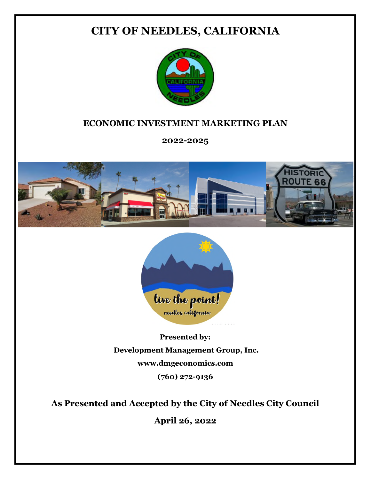## **CITY OF NEEDLES, CALIFORNIA**



## **ECONOMIC INVESTMENT MARKETING PLAN**

**2022-2025**





**Presented by: Development Management Group, Inc. www.dmgeconomics.com (760) 272-9136**

**As Presented and Accepted by the City of Needles City Council**

**April 26, 2022**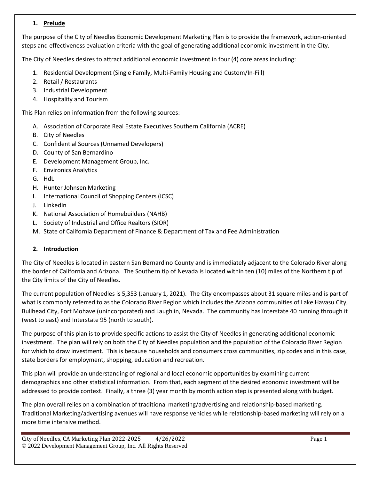#### **1. Prelude**

The purpose of the City of Needles Economic Development Marketing Plan is to provide the framework, action-oriented steps and effectiveness evaluation criteria with the goal of generating additional economic investment in the City.

The City of Needles desires to attract additional economic investment in four (4) core areas including:

- 1. Residential Development (Single Family, Multi-Family Housing and Custom/In-Fill)
- 2. Retail / Restaurants
- 3. Industrial Development
- 4. Hospitality and Tourism

This Plan relies on information from the following sources:

- A. Association of Corporate Real Estate Executives Southern California (ACRE)
- B. City of Needles
- C. Confidential Sources (Unnamed Developers)
- D. County of San Bernardino
- E. Development Management Group, Inc.
- F. Environics Analytics
- G. HdL
- H. Hunter Johnsen Marketing
- I. International Council of Shopping Centers (ICSC)
- J. LinkedIn
- K. National Association of Homebuilders (NAHB)
- L. Society of Industrial and Office Realtors (SIOR)
- M. State of California Department of Finance & Department of Tax and Fee Administration

#### **2. Introduction**

The City of Needles is located in eastern San Bernardino County and is immediately adjacent to the Colorado River along the border of California and Arizona. The Southern tip of Nevada is located within ten (10) miles of the Northern tip of the City limits of the City of Needles.

The current population of Needles is 5,353 (January 1, 2021). The City encompasses about 31 square miles and is part of what is commonly referred to as the Colorado River Region which includes the Arizona communities of Lake Havasu City, Bullhead City, Fort Mohave (unincorporated) and Laughlin, Nevada. The community has Interstate 40 running through it (west to east) and Interstate 95 (north to south).

The purpose of this plan is to provide specific actions to assist the City of Needles in generating additional economic investment. The plan will rely on both the City of Needles population and the population of the Colorado River Region for which to draw investment. This is because households and consumers cross communities, zip codes and in this case, state borders for employment, shopping, education and recreation.

This plan will provide an understanding of regional and local economic opportunities by examining current demographics and other statistical information. From that, each segment of the desired economic investment will be addressed to provide context. Finally, a three (3) year month by month action step is presented along with budget.

The plan overall relies on a combination of traditional marketing/advertising and relationship-based marketing. Traditional Marketing/advertising avenues will have response vehicles while relationship-based marketing will rely on a more time intensive method.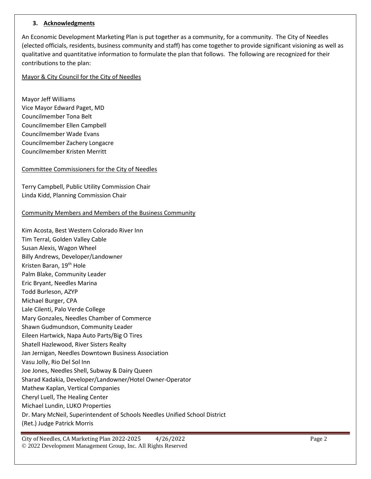#### **3. Acknowledgments**

An Economic Development Marketing Plan is put together as a community, for a community. The City of Needles (elected officials, residents, business community and staff) has come together to provide significant visioning as well as qualitative and quantitative information to formulate the plan that follows. The following are recognized for their contributions to the plan:

#### Mayor & City Council for the City of Needles

Mayor Jeff Williams Vice Mayor Edward Paget, MD Councilmember Tona Belt Councilmember Ellen Campbell Councilmember Wade Evans Councilmember Zachery Longacre Councilmember Kristen Merritt

#### Committee Commissioners for the City of Needles

Terry Campbell, Public Utility Commission Chair Linda Kidd, Planning Commission Chair

#### Community Members and Members of the Business Community

Kim Acosta, Best Western Colorado River Inn Tim Terral, Golden Valley Cable Susan Alexis, Wagon Wheel Billy Andrews, Developer/Landowner Kristen Baran, 19th Hole Palm Blake, Community Leader Eric Bryant, Needles Marina Todd Burleson, AZYP Michael Burger, CPA Lale Cilenti, Palo Verde College Mary Gonzales, Needles Chamber of Commerce Shawn Gudmundson, Community Leader Eileen Hartwick, Napa Auto Parts/Big O Tires Shatell Hazlewood, River Sisters Realty Jan Jernigan, Needles Downtown Business Association Vasu Jolly, Rio Del Sol Inn Joe Jones, Needles Shell, Subway & Dairy Queen Sharad Kadakia, Developer/Landowner/Hotel Owner-Operator Mathew Kaplan, Vertical Companies Cheryl Luell, The Healing Center Michael Lundin, LUKO Properties Dr. Mary McNeil, Superintendent of Schools Needles Unified School District (Ret.) Judge Patrick Morris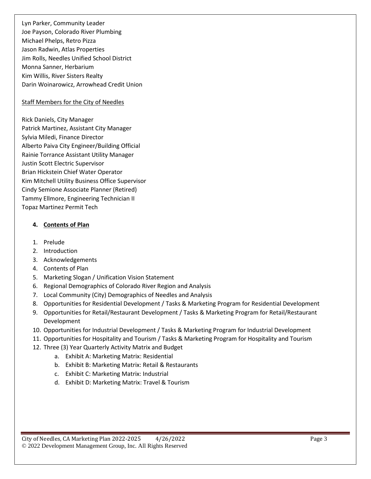Lyn Parker, Community Leader Joe Payson, Colorado River Plumbing Michael Phelps, Retro Pizza Jason Radwin, Atlas Properties Jim Rolls, Needles Unified School District Monna Sanner, Herbarium Kim Willis, River Sisters Realty Darin Woinarowicz, Arrowhead Credit Union

#### Staff Members for the City of Needles

Rick Daniels, City Manager Patrick Martinez, Assistant City Manager Sylvia Miledi, Finance Director Alberto Paiva City Engineer/Building Official Rainie Torrance Assistant Utility Manager Justin Scott Electric Supervisor Brian Hickstein Chief Water Operator Kim Mitchell Utility Business Office Supervisor Cindy Semione Associate Planner (Retired) Tammy Ellmore, Engineering Technician II Topaz Martinez Permit Tech

#### **4. Contents of Plan**

- 1. Prelude
- 2. Introduction
- 3. Acknowledgements
- 4. Contents of Plan
- 5. Marketing Slogan / Unification Vision Statement
- 6. Regional Demographics of Colorado River Region and Analysis
- 7. Local Community (City) Demographics of Needles and Analysis
- 8. Opportunities for Residential Development / Tasks & Marketing Program for Residential Development
- 9. Opportunities for Retail/Restaurant Development / Tasks & Marketing Program for Retail/Restaurant Development
- 10. Opportunities for Industrial Development / Tasks & Marketing Program for Industrial Development
- 11. Opportunities for Hospitality and Tourism / Tasks & Marketing Program for Hospitality and Tourism
- 12. Three (3) Year Quarterly Activity Matrix and Budget
	- a. Exhibit A: Marketing Matrix: Residential
	- b. Exhibit B: Marketing Matrix: Retail & Restaurants
	- c. Exhibit C: Marketing Matrix: Industrial
	- d. Exhibit D: Marketing Matrix: Travel & Tourism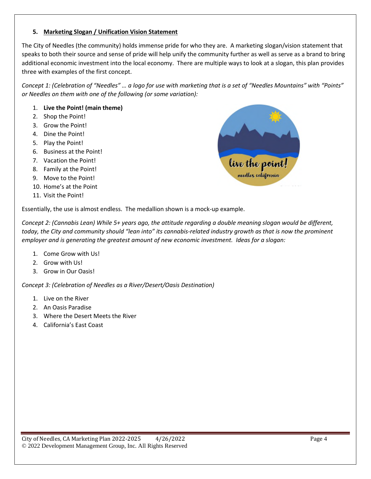#### **5. Marketing Slogan / Unification Vision Statement**

The City of Needles (the community) holds immense pride for who they are. A marketing slogan/vision statement that speaks to both their source and sense of pride will help unify the community further as well as serve as a brand to bring additional economic investment into the local economy. There are multiple ways to look at a slogan, this plan provides three with examples of the first concept.

*Concept 1: (Celebration of "Needles" … a logo for use with marketing that is a set of "Needles Mountains" with "Points" or Needles on them with one of the following (or some variation):*

#### 1. **Live the Point! (main theme)**

- 2. Shop the Point!
- 3. Grow the Point!
- 4. Dine the Point!
- 5. Play the Point!
- 6. Business at the Point!
- 7. Vacation the Point!
- 8. Family at the Point!
- 9. Move to the Point!
- 10. Home's at the Point
- 11. Visit the Point!

Essentially, the use is almost endless. The medallion shown is a mock-up example.

*Concept 2: (Cannabis Lean) While 5+ years ago, the attitude regarding a double meaning slogan would be different, today, the City and community should "lean into" its cannabis-related industry growth as that is now the prominent employer and is generating the greatest amount of new economic investment. Ideas for a slogan:*

- 1. Come Grow with Us!
- 2. Grow with Us!
- 3. Grow in Our Oasis!

*Concept 3: (Celebration of Needles as a River/Desert/Oasis Destination)*

- 1. Live on the River
- 2. An Oasis Paradise
- 3. Where the Desert Meets the River
- 4. California's East Coast

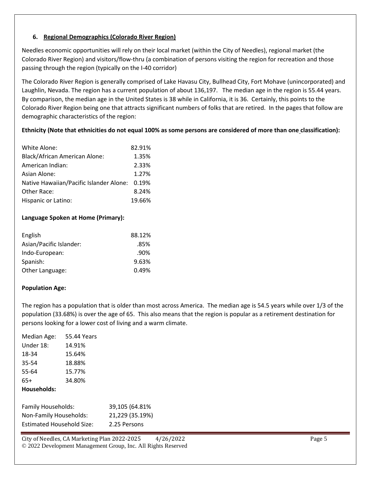#### **6. Regional Demographics (Colorado River Region)**

Needles economic opportunities will rely on their local market (within the City of Needles), regional market (the Colorado River Region) and visitors/flow-thru (a combination of persons visiting the region for recreation and those passing through the region (typically on the I-40 corridor)

The Colorado River Region is generally comprised of Lake Havasu City, Bullhead City, Fort Mohave (unincorporated) and Laughlin, Nevada. The region has a current population of about 136,197. The median age in the region is 55.44 years. By comparison, the median age in the United States is 38 while in California, it is 36. Certainly, this points to the Colorado River Region being one that attracts significant numbers of folks that are retired. In the pages that follow are demographic characteristics of the region:

#### **Ethnicity (Note that ethnicities do not equal 100% as some persons are considered of more than one classification):**

| White Alone:                                  | 82.91% |
|-----------------------------------------------|--------|
| <b>Black/African American Alone:</b>          | 1.35%  |
| American Indian:                              | 2.33%  |
| Asian Alone:                                  | 1.27%  |
| Native Hawaiian/Pacific Islander Alone: 0.19% |        |
| Other Race:                                   | 8.24%  |
| Hispanic or Latino:                           | 19.66% |

#### **Language Spoken at Home (Primary):**

| English                 | 88.12%  |
|-------------------------|---------|
| Asian/Pacific Islander: | .85%    |
| Indo-European:          | $.90\%$ |
| Spanish:                | 9.63%   |
| Other Language:         | 0.49%   |

#### **Population Age:**

The region has a population that is older than most across America. The median age is 54.5 years while over 1/3 of the population (33.68%) is over the age of 65. This also means that the region is popular as a retirement destination for persons looking for a lower cost of living and a warm climate.

| Median Age:                             | 55.44 Years |                 |
|-----------------------------------------|-------------|-----------------|
| Under 18:                               | 14.91%      |                 |
| 18-34                                   | 15.64%      |                 |
| 35-54                                   | 18.88%      |                 |
| 55-64                                   | 15.77%      |                 |
| 65+                                     | 34.80%      |                 |
| Households:                             |             |                 |
|                                         |             |                 |
| Family Households:                      |             | 39,105 (64.81%) |
| المطالح والمستنم البنا المورجي المرجلية |             | 24.220125.4001  |

| $. \, \ldots, \, \ldots, \, \ldots, \, \ldots, \, \ldots, \, \ldots, \, \ldots, \, \ldots, \, \ldots, \, \ldots, \, \ldots, \, \ldots, \, \ldots, \, \ldots, \, \ldots, \, \ldots, \, \ldots, \, \ldots, \, \ldots, \, \ldots, \, \ldots, \, \ldots, \, \ldots, \, \ldots, \, \ldots, \, \ldots, \, \ldots, \, \ldots, \, \ldots, \, \ldots, \, \ldots, \, \ldots, \, \ldots, \, \ldots, \, \ldots, \, \ldots, \, \$ | 55,000,000,000  |
|----------------------------------------------------------------------------------------------------------------------------------------------------------------------------------------------------------------------------------------------------------------------------------------------------------------------------------------------------------------------------------------------------------------------|-----------------|
| Non-Family Households:                                                                                                                                                                                                                                                                                                                                                                                               | 21,229 (35.19%) |
| <b>Estimated Household Size:</b>                                                                                                                                                                                                                                                                                                                                                                                     | 2.25 Persons    |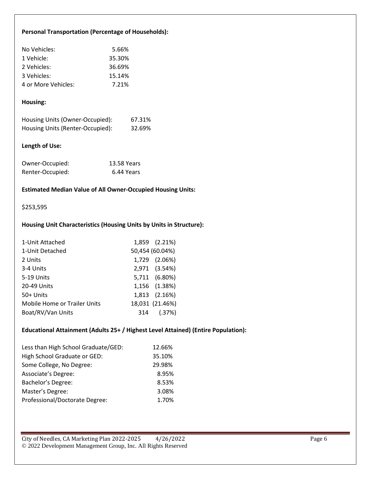#### **Personal Transportation (Percentage of Households):**

| No Vehicles:        | 5.66%  |
|---------------------|--------|
| 1 Vehicle:          | 35.30% |
| 2 Vehicles:         | 36.69% |
| 3 Vehicles:         | 15.14% |
| 4 or More Vehicles: | 7.21%  |

#### **Housing:**

| Housing Units (Owner-Occupied):  | 67.31% |
|----------------------------------|--------|
| Housing Units (Renter-Occupied): | 32.69% |

#### **Length of Use:**

| Owner-Occupied:  | 13.58 Years |
|------------------|-------------|
| Renter-Occupied: | 6.44 Years  |

#### **Estimated Median Value of All Owner-Occupied Housing Units:**

#### \$253,595

#### **Housing Unit Characteristics (Housing Units by Units in Structure):**

| 1-Unit Attached                     | 1,859 (2.21%)   |
|-------------------------------------|-----------------|
| 1-Unit Detached                     | 50,454 (60.04%) |
| 2 Units                             | 1,729 (2.06%)   |
| 3-4 Units                           | 2,971 (3.54%)   |
| 5-19 Units                          | 5,711 (6.80%)   |
| 20-49 Units                         | 1,156 (1.38%)   |
| 50+ Units                           | 1,813 (2.16%)   |
| <b>Mobile Home or Trailer Units</b> | 18,031 (21.46%) |
| Boat/RV/Van Units                   | 314 (.37%)      |

#### **Educational Attainment (Adults 25+ / Highest Level Attained) (Entire Population):**

| Less than High School Graduate/GED: | 12.66% |
|-------------------------------------|--------|
| High School Graduate or GED:        | 35.10% |
| Some College, No Degree:            | 29.98% |
| Associate's Degree:                 | 8.95%  |
| Bachelor's Degree:                  | 8.53%  |
| Master's Degree:                    | 3.08%  |
| Professional/Doctorate Degree:      | 1.70%  |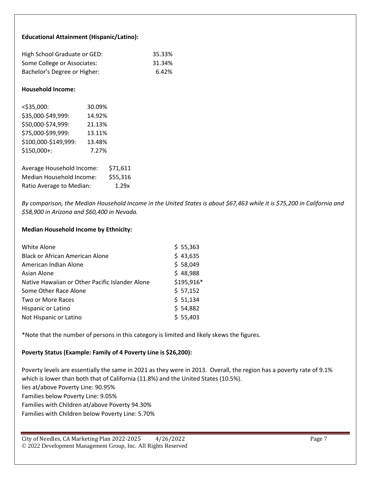#### **Educational Attainment (Hispanic/Latino):**

| High School Graduate or GED: | 35.33% |
|------------------------------|--------|
| Some College or Associates:  | 31.34% |
| Bachelor's Degree or Higher: | 6.42%  |

#### **Household Income:**

| $<$ \$35,000:        | 30.09% |
|----------------------|--------|
| \$35,000-\$49,999:   | 14.92% |
| \$50,000-\$74,999:   | 21.13% |
| \$75,000-\$99,999:   | 13.11% |
| \$100,000-\$149,999: | 13.48% |
| \$150,000+:          | 7.27%  |
|                      |        |

| Average Household Income: | \$71,611 |
|---------------------------|----------|
| Median Household Income:  | \$55,316 |
| Ratio Average to Median:  | 1.29x    |

*By comparison, the Median Household Income in the United States is about \$67,463 while it is \$75,200 in California and \$58,900 in Arizona and \$60,400 in Nevada.*

#### **Median Household Income by Ethnicity:**

| White Alone                                     | \$55,363   |
|-------------------------------------------------|------------|
| <b>Black or African American Alone</b>          | \$43,635   |
| American Indian Alone                           | \$58,049   |
| Asian Alone                                     | \$48,988   |
| Native Hawaiian or Other Pacific Islander Alone | \$195,916* |
| Some Other Race Alone                           | \$57,152   |
| Two or More Races                               | \$ 51,134  |
| Hispanic or Latino                              | \$54,882   |
| Not Hispanic or Latino                          | \$55,403   |

\*Note that the number of persons in this category is limited and likely skews the figures.

#### **Poverty Status (Example: Family of 4 Poverty Line is \$26,200):**

Poverty levels are essentially the same in 2021 as they were in 2013. Overall, the region has a poverty rate of 9.1% which is lower than both that of California (11.8%) and the United States (10.5%). lies at/above Poverty Line: 90.95% Families below Poverty Line: 9.05% Families with Children at/above Poverty 94.30% Families with Children below Poverty Line: 5.70%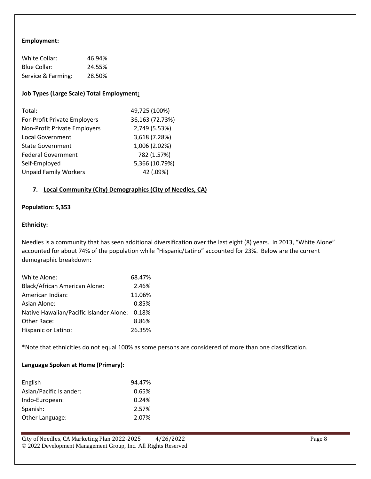#### **Employment:**

| White Collar:      | 46.94% |
|--------------------|--------|
| Blue Collar:       | 24.55% |
| Service & Farming: | 28.50% |

#### **Job Types (Large Scale) Total Employment:**

| Total:                       | 49,725 (100%)   |
|------------------------------|-----------------|
| For-Profit Private Employers | 36,163 (72.73%) |
| Non-Profit Private Employers | 2,749 (5.53%)   |
| <b>Local Government</b>      | 3,618 (7.28%)   |
| <b>State Government</b>      | 1,006 (2.02%)   |
| <b>Federal Government</b>    | 782 (1.57%)     |
| Self-Employed                | 5,366 (10.79%)  |
| <b>Unpaid Family Workers</b> | 42 (.09%)       |

#### **7. Local Community (City) Demographics (City of Needles, CA)**

#### **Population: 5,353**

#### **Ethnicity:**

Needles is a community that has seen additional diversification over the last eight (8) years. In 2013, "White Alone" accounted for about 74% of the population while "Hispanic/Latino" accounted for 23%. Below are the current demographic breakdown:

| White Alone:                                  | 68.47% |
|-----------------------------------------------|--------|
| <b>Black/African American Alone:</b>          | 2.46%  |
| American Indian:                              | 11.06% |
| Asian Alone:                                  | 0.85%  |
| Native Hawaiian/Pacific Islander Alone: 0.18% |        |
| Other Race:                                   | 8.86%  |
| Hispanic or Latino:                           | 26.35% |

\*Note that ethnicities do not equal 100% as some persons are considered of more than one classification.

#### **Language Spoken at Home (Primary):**

| English                 | 94.47% |
|-------------------------|--------|
| Asian/Pacific Islander: | 0.65%  |
| Indo-European:          | 0.24%  |
| Spanish:                | 2.57%  |
| Other Language:         | 2.07%  |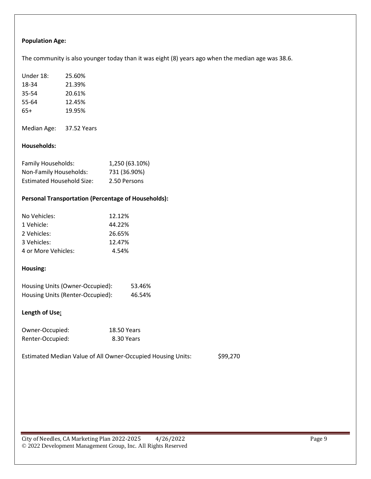#### **Population Age:**

The community is also younger today than it was eight (8) years ago when the median age was 38.6.

| Under 18: | 25.60% |
|-----------|--------|
| 18-34     | 21.39% |
| 35-54     | 20.61% |
| 55-64     | 12.45% |
| 65+       | 19.95% |
|           |        |

Median Age: 37.52 Years

#### **Households:**

| <b>Family Households:</b>        | 1,250 (63.10%) |
|----------------------------------|----------------|
| Non-Family Households:           | 731 (36.90%)   |
| <b>Estimated Household Size:</b> | 2.50 Persons   |

#### **Personal Transportation (Percentage of Households):**

| No Vehicles:        | 12.12% |
|---------------------|--------|
| 1 Vehicle:          | 44.22% |
| 2 Vehicles:         | 26.65% |
| 3 Vehicles:         | 12.47% |
| 4 or More Vehicles: | 4.54%  |

#### **Housing:**

| Housing Units (Owner-Occupied):  | 53.46% |
|----------------------------------|--------|
| Housing Units (Renter-Occupied): | 46.54% |

#### **Length of Use:**

| Owner-Occupied:  | <b>18.50 Years</b> |
|------------------|--------------------|
| Renter-Occupied: | 8.30 Years         |

Estimated Median Value of All Owner-Occupied Housing Units: \$99,270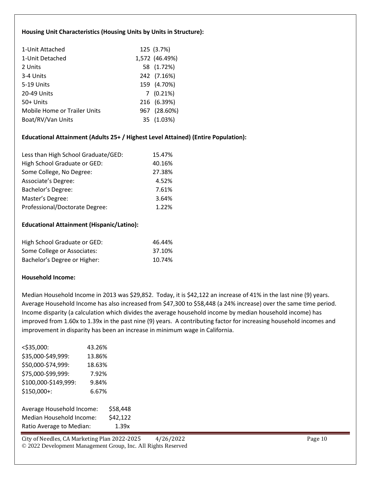#### **Housing Unit Characteristics (Housing Units by Units in Structure):**

| 1-Unit Attached                     | 125 (3.7%)     |
|-------------------------------------|----------------|
| 1-Unit Detached                     | 1,572 (46.49%) |
| 2 Units                             | 58 (1.72%)     |
| 3-4 Units                           | 242 (7.16%)    |
| 5-19 Units                          | 159 (4.70%)    |
| 20-49 Units                         | $7(0.21\%)$    |
| 50+ Units                           | 216 (6.39%)    |
| <b>Mobile Home or Trailer Units</b> | 967 (28.60%)   |
| Boat/RV/Van Units                   | 35 (1.03%)     |

#### **Educational Attainment (Adults 25+ / Highest Level Attained) (Entire Population):**

| Less than High School Graduate/GED: | 15.47% |
|-------------------------------------|--------|
| High School Graduate or GED:        | 40.16% |
| Some College, No Degree:            | 27.38% |
| Associate's Degree:                 | 4.52%  |
| Bachelor's Degree:                  | 7.61%  |
| Master's Degree:                    | 3.64%  |
| Professional/Doctorate Degree:      | 1.22%  |

#### **Educational Attainment (Hispanic/Latino):**

| High School Graduate or GED: | 46.44% |
|------------------------------|--------|
| Some College or Associates:  | 37.10% |
| Bachelor's Degree or Higher: | 10.74% |

#### **Household Income:**

Median Household Income in 2013 was \$29,852. Today, it is \$42,122 an increase of 41% in the last nine (9) years. Average Household Income has also increased from \$47,300 to \$58,448 (a 24% increase) over the same time period. Income disparity (a calculation which divides the average household income by median household income) has improved from 1.60x to 1.39x in the past nine (9) years. A contributing factor for increasing household incomes and improvement in disparity has been an increase in minimum wage in California.

| $<$ \$35,000:        | 43.26% |
|----------------------|--------|
| \$35,000-\$49,999:   | 13.86% |
| \$50,000-\$74,999:   | 18.63% |
| \$75,000-\$99,999:   | 7.92%  |
| \$100,000-\$149,999: | 9.84%  |
| \$150,000+:          | 6.67%  |
|                      |        |
|                      |        |

Average Household Income: \$58,448 Median Household Income: \$42,122 Ratio Average to Median: 1.39x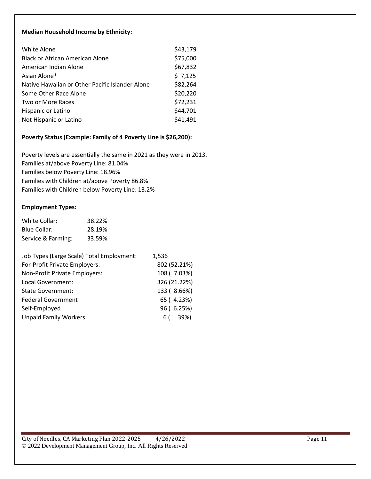#### **Median Household Income by Ethnicity:**

| White Alone                                     | \$43,179 |
|-------------------------------------------------|----------|
| <b>Black or African American Alone</b>          | \$75,000 |
| American Indian Alone                           | \$67,832 |
| Asian Alone*                                    | \$7,125  |
| Native Hawaiian or Other Pacific Islander Alone | \$82,264 |
| Some Other Race Alone                           | \$20,220 |
| Two or More Races                               | \$72,231 |
| Hispanic or Latino                              | \$44,701 |
| Not Hispanic or Latino                          | \$41,491 |

#### **Poverty Status (Example: Family of 4 Poverty Line is \$26,200):**

Poverty levels are essentially the same in 2021 as they were in 2013. Families at/above Poverty Line: 81.04% Families below Poverty Line: 18.96% Families with Children at/above Poverty 86.8% Families with Children below Poverty Line: 13.2%

#### **Employment Types:**

| White Collar:      | 38.22% |
|--------------------|--------|
| Blue Collar:       | 28.19% |
| Service & Farming: | 33.59% |

| Job Types (Large Scale) Total Employment: | 1,536        |
|-------------------------------------------|--------------|
| For-Profit Private Employers:             | 802 (52.21%) |
| Non-Profit Private Employers:             | 108 (7.03%)  |
| Local Government:                         | 326 (21.22%) |
| <b>State Government:</b>                  | 133 (8.66%)  |
| <b>Federal Government</b>                 | 65 (4.23%)   |
| Self-Employed                             | 96 (6.25%)   |
| <b>Unpaid Family Workers</b>              | $6($ .39%)   |
|                                           |              |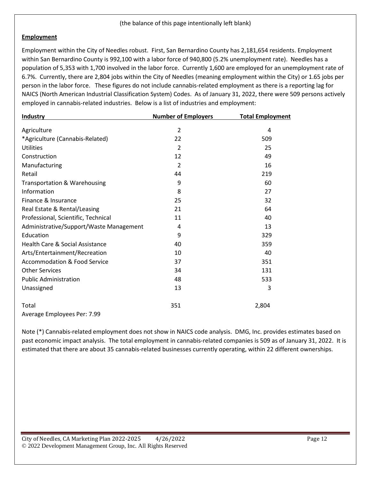#### **Employment**

Employment within the City of Needles robust. First, San Bernardino County has 2,181,654 residents. Employment within San Bernardino County is 992,100 with a labor force of 940,800 (5.2% unemployment rate). Needles has a population of 5,353 with 1,700 involved in the labor force. Currently 1,600 are employed for an unemployment rate of 6.7%. Currently, there are 2,804 jobs within the City of Needles (meaning employment within the City) or 1.65 jobs per person in the labor force. These figures do not include cannabis-related employment as there is a reporting lag for NAICS (North American Industrial Classification System) Codes. As of January 31, 2022, there were 509 persons actively employed in cannabis-related industries. Below is a list of industries and employment:

| <b>Industry</b>                            | <b>Number of Employers</b> | <b>Total Employment</b> |  |  |  |  |
|--------------------------------------------|----------------------------|-------------------------|--|--|--|--|
| Agriculture                                | $\overline{2}$             | 4                       |  |  |  |  |
| *Agriculture (Cannabis-Related)            | 22                         | 509                     |  |  |  |  |
| <b>Utilities</b>                           | $\overline{2}$             | 25                      |  |  |  |  |
| Construction                               | 12                         | 49                      |  |  |  |  |
| Manufacturing                              | $\mathcal{P}$              | 16                      |  |  |  |  |
| Retail                                     | 44                         | 219                     |  |  |  |  |
| Transportation & Warehousing               | 9                          | 60                      |  |  |  |  |
| Information                                | 8                          | 27                      |  |  |  |  |
| Finance & Insurance                        | 25                         | 32                      |  |  |  |  |
| Real Estate & Rental/Leasing               | 21                         | 64                      |  |  |  |  |
| Professional, Scientific, Technical        | 11                         | 40                      |  |  |  |  |
| Administrative/Support/Waste Management    | 4                          | 13                      |  |  |  |  |
| Education                                  | 9                          | 329                     |  |  |  |  |
| <b>Health Care &amp; Social Assistance</b> | 40                         | 359                     |  |  |  |  |
| Arts/Entertainment/Recreation              | 10                         | 40                      |  |  |  |  |
| <b>Accommodation &amp; Food Service</b>    | 37                         | 351                     |  |  |  |  |
| <b>Other Services</b>                      | 34                         | 131                     |  |  |  |  |
| <b>Public Administration</b>               | 48                         | 533                     |  |  |  |  |
| Unassigned                                 | 13                         | 3                       |  |  |  |  |
| Total                                      | 351                        | 2,804                   |  |  |  |  |
| Average Employees Per: 7.99                |                            |                         |  |  |  |  |

Note (\*) Cannabis-related employment does not show in NAICS code analysis. DMG, Inc. provides estimates based on past economic impact analysis. The total employment in cannabis-related companies is 509 as of January 31, 2022. It is estimated that there are about 35 cannabis-related businesses currently operating, within 22 different ownerships.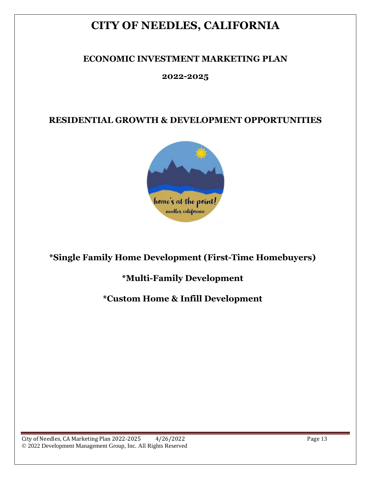## **CITY OF NEEDLES, CALIFORNIA**

## **ECONOMIC INVESTMENT MARKETING PLAN**

### **2022-2025**

## **RESIDENTIAL GROWTH & DEVELOPMENT OPPORTUNITIES**



## **\*Single Family Home Development (First-Time Homebuyers)**

## **\*Multi-Family Development**

## **\*Custom Home & Infill Development**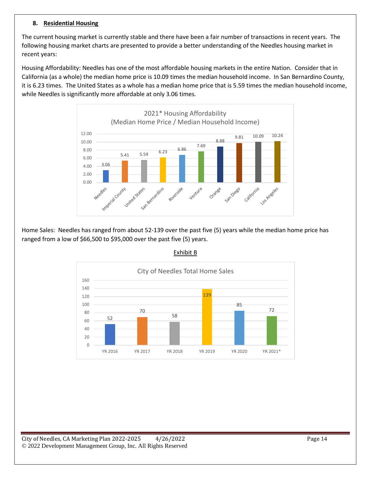#### **8. Residential Housing**

The current housing market is currently stable and there have been a fair number of transactions in recent years. The following housing market charts are presented to provide a better understanding of the Needles housing market in recent years:

Housing Affordability: Needles has one of the most affordable housing markets in the entire Nation. Consider that in California (as a whole) the median home price is 10.09 times the median household income. In San Bernardino County, it is 6.23 times. The United States as a whole has a median home price that is 5.59 times the median household income, while Needles is significantly more affordable at only 3.06 times.



Home Sales: Needles has ranged from about 52-139 over the past five (5) years while the median home price has ranged from a low of \$66,500 to \$95,000 over the past five (5) years.



#### Exhibit B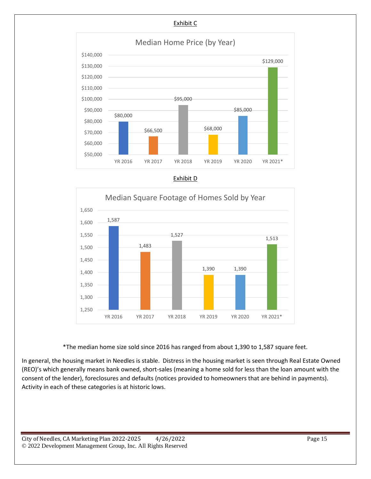





\*The median home size sold since 2016 has ranged from about 1,390 to 1,587 square feet.

In general, the housing market in Needles is stable. Distress in the housing market is seen through Real Estate Owned (REO)'s which generally means bank owned, short-sales (meaning a home sold for less than the loan amount with the consent of the lender), foreclosures and defaults (notices provided to homeowners that are behind in payments). Activity in each of these categories is at historic lows.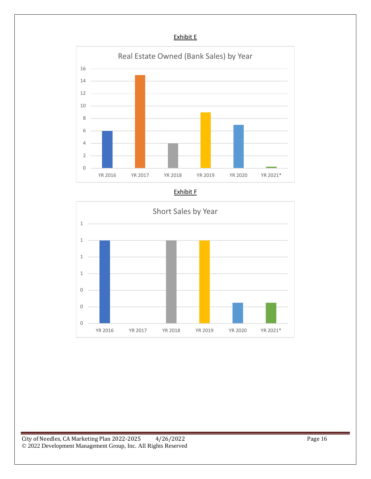#### Exhibit E





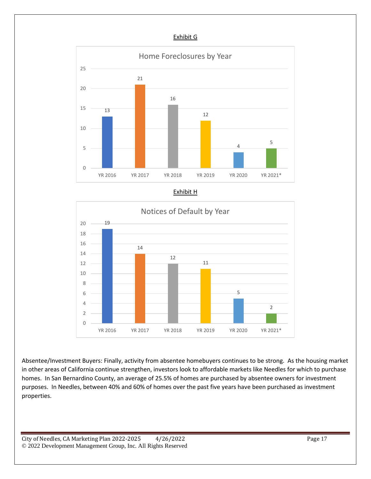#### Exhibit G



Exhibit H



Absentee/Investment Buyers: Finally, activity from absentee homebuyers continues to be strong. As the housing market in other areas of California continue strengthen, investors look to affordable markets like Needles for which to purchase homes. In San Bernardino County, an average of 25.5% of homes are purchased by absentee owners for investment purposes. In Needles, between 40% and 60% of homes over the past five years have been purchased as investment properties.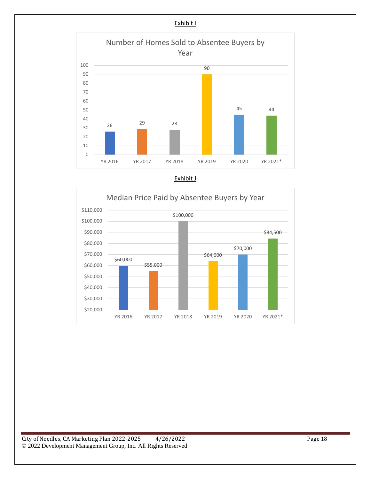



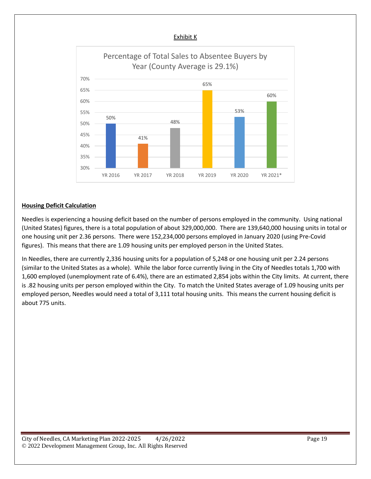

#### **Housing Deficit Calculation**

Needles is experiencing a housing deficit based on the number of persons employed in the community. Using national (United States) figures, there is a total population of about 329,000,000. There are 139,640,000 housing units in total or one housing unit per 2.36 persons. There were 152,234,000 persons employed in January 2020 (using Pre-Covid figures). This means that there are 1.09 housing units per employed person in the United States.

In Needles, there are currently 2,336 housing units for a population of 5,248 or one housing unit per 2.24 persons (similar to the United States as a whole). While the labor force currently living in the City of Needles totals 1,700 with 1,600 employed (unemployment rate of 6.4%), there are an estimated 2,854 jobs within the City limits. At current, there is .82 housing units per person employed within the City. To match the United States average of 1.09 housing units per employed person, Needles would need a total of 3,111 total housing units. This means the current housing deficit is about 775 units.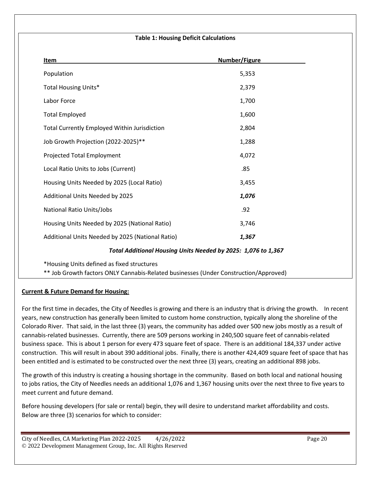#### **Table 1: Housing Deficit Calculations**

| Item                                                          | Number/Figure |  |  |  |  |  |
|---------------------------------------------------------------|---------------|--|--|--|--|--|
| Population                                                    | 5,353         |  |  |  |  |  |
| <b>Total Housing Units*</b>                                   | 2,379         |  |  |  |  |  |
| Labor Force                                                   | 1,700         |  |  |  |  |  |
| <b>Total Employed</b>                                         | 1,600         |  |  |  |  |  |
| <b>Total Currently Employed Within Jurisdiction</b>           | 2,804         |  |  |  |  |  |
| Job Growth Projection (2022-2025)**                           | 1,288         |  |  |  |  |  |
| Projected Total Employment                                    | 4,072         |  |  |  |  |  |
| Local Ratio Units to Jobs (Current)                           | .85           |  |  |  |  |  |
| Housing Units Needed by 2025 (Local Ratio)                    | 3,455         |  |  |  |  |  |
| Additional Units Needed by 2025                               | 1,076         |  |  |  |  |  |
| National Ratio Units/Jobs                                     | .92           |  |  |  |  |  |
| Housing Units Needed by 2025 (National Ratio)                 | 3,746         |  |  |  |  |  |
| Additional Units Needed by 2025 (National Ratio)              | 1,367         |  |  |  |  |  |
| Total Additional Housing Units Needed by 2025: 1,076 to 1,367 |               |  |  |  |  |  |

\*Housing Units defined as fixed structures

\*\* Job Growth factors ONLY Cannabis-Related businesses (Under Construction/Approved)

#### **Current & Future Demand for Housing:**

For the first time in decades, the City of Needles is growing and there is an industry that is driving the growth. In recent years, new construction has generally been limited to custom home construction, typically along the shoreline of the Colorado River. That said, in the last three (3) years, the community has added over 500 new jobs mostly as a result of cannabis-related businesses. Currently, there are 509 persons working in 240,500 square feet of cannabis-related business space. This is about 1 person for every 473 square feet of space. There is an additional 184,337 under active construction. This will result in about 390 additional jobs. Finally, there is another 424,409 square feet of space that has been entitled and is estimated to be constructed over the next three (3) years, creating an additional 898 jobs.

The growth of this industry is creating a housing shortage in the community. Based on both local and national housing to jobs ratios, the City of Needles needs an additional 1,076 and 1,367 housing units over the next three to five years to meet current and future demand.

Before housing developers (for sale or rental) begin, they will desire to understand market affordability and costs. Below are three (3) scenarios for which to consider: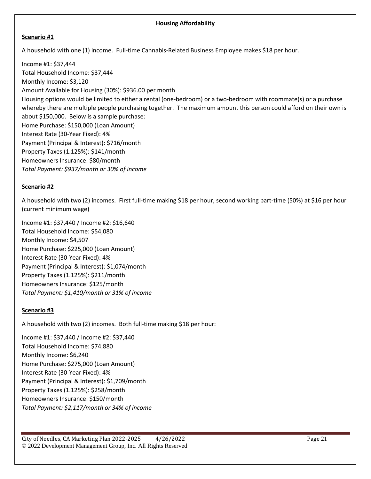#### **Housing Affordability**

#### **Scenario #1**

A household with one (1) income. Full-time Cannabis-Related Business Employee makes \$18 per hour.

Income #1: \$37,444 Total Household Income: \$37,444 Monthly Income: \$3,120 Amount Available for Housing (30%): \$936.00 per month Housing options would be limited to either a rental (one-bedroom) or a two-bedroom with roommate(s) or a purchase whereby there are multiple people purchasing together. The maximum amount this person could afford on their own is about \$150,000. Below is a sample purchase: Home Purchase: \$150,000 (Loan Amount) Interest Rate (30-Year Fixed): 4% Payment (Principal & Interest): \$716/month Property Taxes (1.125%): \$141/month Homeowners Insurance: \$80/month *Total Payment: \$937/month or 30% of income*

#### **Scenario #2**

A household with two (2) incomes. First full-time making \$18 per hour, second working part-time (50%) at \$16 per hour (current minimum wage)

Income #1: \$37,440 / Income #2: \$16,640 Total Household Income: \$54,080 Monthly Income: \$4,507 Home Purchase: \$225,000 (Loan Amount) Interest Rate (30-Year Fixed): 4% Payment (Principal & Interest): \$1,074/month Property Taxes (1.125%): \$211/month Homeowners Insurance: \$125/month *Total Payment: \$1,410/month or 31% of income*

#### **Scenario #3**

A household with two (2) incomes. Both full-time making \$18 per hour:

Income #1: \$37,440 / Income #2: \$37,440 Total Household Income: \$74,880 Monthly Income: \$6,240 Home Purchase: \$275,000 (Loan Amount) Interest Rate (30-Year Fixed): 4% Payment (Principal & Interest): \$1,709/month Property Taxes (1.125%): \$258/month Homeowners Insurance: \$150/month *Total Payment: \$2,117/month or 34% of income*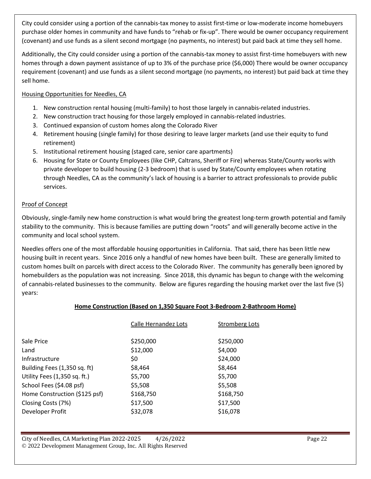City could consider using a portion of the cannabis-tax money to assist first-time or low-moderate income homebuyers purchase older homes in community and have funds to "rehab or fix-up". There would be owner occupancy requirement (covenant) and use funds as a silent second mortgage (no payments, no interest) but paid back at time they sell home.

Additionally, the City could consider using a portion of the cannabis-tax money to assist first-time homebuyers with new homes through a down payment assistance of up to 3% of the purchase price (\$6,000) There would be owner occupancy requirement (covenant) and use funds as a silent second mortgage (no payments, no interest) but paid back at time they sell home.

#### Housing Opportunities for Needles, CA

- 1. New construction rental housing (multi-family) to host those largely in cannabis-related industries.
- 2. New construction tract housing for those largely employed in cannabis-related industries.
- 3. Continued expansion of custom homes along the Colorado River
- 4. Retirement housing (single family) for those desiring to leave larger markets (and use their equity to fund retirement)
- 5. Institutional retirement housing (staged care, senior care apartments)
- 6. Housing for State or County Employees (like CHP, Caltrans, Sheriff or Fire) whereas State/County works with private developer to build housing (2-3 bedroom) that is used by State/County employees when rotating through Needles, CA as the community's lack of housing is a barrier to attract professionals to provide public services.

#### Proof of Concept

Obviously, single-family new home construction is what would bring the greatest long-term growth potential and family stability to the community. This is because families are putting down "roots" and will generally become active in the community and local school system.

Needles offers one of the most affordable housing opportunities in California. That said, there has been little new housing built in recent years. Since 2016 only a handful of new homes have been built. These are generally limited to custom homes built on parcels with direct access to the Colorado River. The community has generally been ignored by homebuilders as the population was not increasing. Since 2018, this dynamic has begun to change with the welcoming of cannabis-related businesses to the community. Below are figures regarding the housing market over the last five (5) years:

#### **Home Construction (Based on 1,350 Square Foot 3-Bedroom 2-Bathroom Home)**

| Calle Hernandez Lots | Stromberg Lots |
|----------------------|----------------|
| \$250,000            | \$250,000      |
| \$12,000             | \$4,000        |
| \$0                  | \$24,000       |
| \$8,464              | \$8,464        |
| \$5,700              | \$5,700        |
| \$5,508              | \$5,508        |
| \$168,750            | \$168,750      |
| \$17,500             | \$17,500       |
| \$32,078             | \$16,078       |
|                      |                |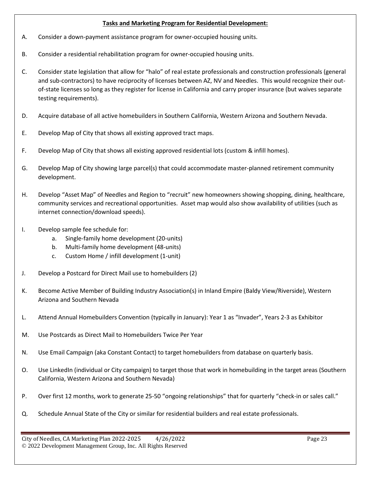#### **Tasks and Marketing Program for Residential Development:**

- A. Consider a down-payment assistance program for owner-occupied housing units.
- B. Consider a residential rehabilitation program for owner-occupied housing units.
- C. Consider state legislation that allow for "halo" of real estate professionals and construction professionals (general and sub-contractors) to have reciprocity of licenses between AZ, NV and Needles. This would recognize their outof-state licenses so long as they register for license in California and carry proper insurance (but waives separate testing requirements).
- D. Acquire database of all active homebuilders in Southern California, Western Arizona and Southern Nevada.
- E. Develop Map of City that shows all existing approved tract maps.
- F. Develop Map of City that shows all existing approved residential lots (custom & infill homes).
- G. Develop Map of City showing large parcel(s) that could accommodate master-planned retirement community development.
- H. Develop "Asset Map" of Needles and Region to "recruit" new homeowners showing shopping, dining, healthcare, community services and recreational opportunities. Asset map would also show availability of utilities (such as internet connection/download speeds).
- I. Develop sample fee schedule for:
	- a. Single-family home development (20-units)
	- b. Multi-family home development (48-units)
	- c. Custom Home / infill development (1-unit)
- J. Develop a Postcard for Direct Mail use to homebuilders (2)
- K. Become Active Member of Building Industry Association(s) in Inland Empire (Baldy View/Riverside), Western Arizona and Southern Nevada
- L. Attend Annual Homebuilders Convention (typically in January): Year 1 as "Invader", Years 2-3 as Exhibitor
- M. Use Postcards as Direct Mail to Homebuilders Twice Per Year
- N. Use Email Campaign (aka Constant Contact) to target homebuilders from database on quarterly basis.
- O. Use LinkedIn (individual or City campaign) to target those that work in homebuilding in the target areas (Southern California, Western Arizona and Southern Nevada)
- P. Over first 12 months, work to generate 25-50 "ongoing relationships" that for quarterly "check-in or sales call."
- Q. Schedule Annual State of the City or similar for residential builders and real estate professionals.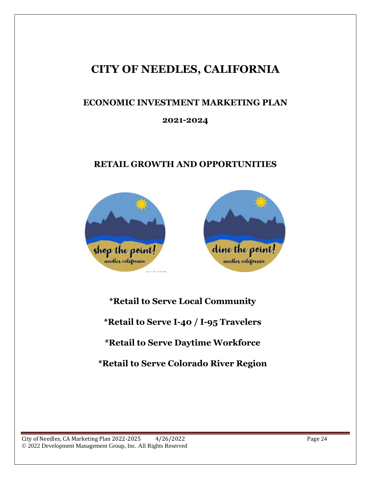## **CITY OF NEEDLES, CALIFORNIA**

## **ECONOMIC INVESTMENT MARKETING PLAN**

### **2021-2024**

## **RETAIL GROWTH AND OPPORTUNITIES**



**\*Retail to Serve Local Community \*Retail to Serve I-40 / I-95 Travelers \*Retail to Serve Daytime Workforce \*Retail to Serve Colorado River Region**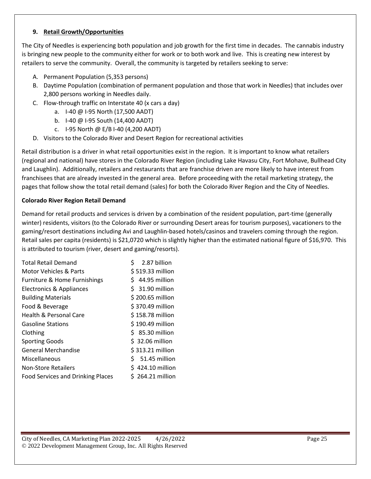#### **9. Retail Growth/Opportunities**

The City of Needles is experiencing both population and job growth for the first time in decades. The cannabis industry is bringing new people to the community either for work or to both work and live. This is creating new interest by retailers to serve the community. Overall, the community is targeted by retailers seeking to serve:

- A. Permanent Population (5,353 persons)
- B. Daytime Population (combination of permanent population and those that work in Needles) that includes over 2,800 persons working in Needles daily.
- C. Flow-through traffic on Interstate 40 (x cars a day)
	- a. I-40 @ I-95 North (17,500 AADT)
	- b. I-40 @ I-95 South (14,400 AADT)
	- c. I-95 North @ E/B I-40 (4,200 AADT)
- D. Visitors to the Colorado River and Desert Region for recreational activities

Retail distribution is a driver in what retail opportunities exist in the region. It is important to know what retailers (regional and national) have stores in the Colorado River Region (including Lake Havasu City, Fort Mohave, Bullhead City and Laughlin). Additionally, retailers and restaurants that are franchise driven are more likely to have interest from franchisees that are already invested in the general area. Before proceeding with the retail marketing strategy, the pages that follow show the total retail demand (sales) for both the Colorado River Region and the City of Needles.

#### **Colorado River Region Retail Demand**

Demand for retail products and services is driven by a combination of the resident population, part-time (generally winter) residents, visitors (to the Colorado River or surrounding Desert areas for tourism purposes), vacationers to the gaming/resort destinations including Avi and Laughlin-based hotels/casinos and travelers coming through the region. Retail sales per capita (residents) is \$21,0720 which is slightly higher than the estimated national figure of \$16,970. This is attributed to tourism (river, desert and gaming/resorts).

| <b>Total Retail Demand</b>               | Ś<br>2.87 billion |
|------------------------------------------|-------------------|
| Motor Vehicles & Parts                   | \$519.33 million  |
| Furniture & Home Furnishings             | $$44.95$ million  |
| Electronics & Appliances                 | $$31.90$ million  |
| <b>Building Materials</b>                | \$200.65 million  |
| Food & Beverage                          | \$370.49 million  |
| <b>Health &amp; Personal Care</b>        | \$158.78 million  |
| <b>Gasoline Stations</b>                 | \$190.49 million  |
| Clothing                                 | $$35.30$ million  |
| <b>Sporting Goods</b>                    | $$32.06$ million  |
| <b>General Merchandise</b>               | \$313.21 million  |
| Miscellaneous                            | $$51.45$ million  |
| <b>Non-Store Retailers</b>               | \$424.10 million  |
| <b>Food Services and Drinking Places</b> | $$264.21$ million |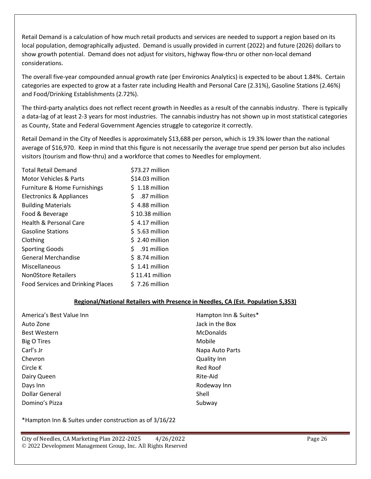Retail Demand is a calculation of how much retail products and services are needed to support a region based on its local population, demographically adjusted. Demand is usually provided in current (2022) and future (2026) dollars to show growth potential. Demand does not adjust for visitors, highway flow-thru or other non-local demand considerations.

The overall five-year compounded annual growth rate (per Environics Analytics) is expected to be about 1.84%. Certain categories are expected to grow at a faster rate including Health and Personal Care (2.31%), Gasoline Stations (2.46%) and Food/Drinking Establishments (2.72%).

The third-party analytics does not reflect recent growth in Needles as a result of the cannabis industry. There is typically a data-lag of at least 2-3 years for most industries. The cannabis industry has not shown up in most statistical categories as County, State and Federal Government Agencies struggle to categorize it correctly.

Retail Demand in the City of Needles is approximately \$13,688 per person, which is 19.3% lower than the national average of \$16,970. Keep in mind that this figure is not necessarily the average true spend per person but also includes visitors (tourism and flow-thru) and a workforce that comes to Needles for employment.

| <b>Total Retail Demand</b>               | \$73.27 million    |
|------------------------------------------|--------------------|
| <b>Motor Vehicles &amp; Parts</b>        | \$14.03 million    |
| Furniture & Home Furnishings             | $$1.18$ million    |
| <b>Electronics &amp; Appliances</b>      | \$.<br>.87 million |
| <b>Building Materials</b>                | $$4.88$ million    |
| Food & Beverage                          | \$10.38 million    |
| <b>Health &amp; Personal Care</b>        | $$4.17$ million    |
| <b>Gasoline Stations</b>                 | $$5.63$ million    |
| Clothing                                 | $$2.40$ million    |
| <b>Sporting Goods</b>                    | $$.91$ million     |
| <b>General Merchandise</b>               | $$3.74$ million    |
| Miscellaneous                            | \$1.41 million     |
| <b>NonOStore Retailers</b>               | $$11.41$ million   |
| <b>Food Services and Drinking Places</b> | $$7.26$ million    |

#### **Regional/National Retailers with Presence in Needles, CA (Est. Population 5,353)**

| America's Best Value Inn | Hampton Inn & Suites* |
|--------------------------|-----------------------|
| Auto Zone                | Jack in the Box       |
| <b>Best Western</b>      | <b>McDonalds</b>      |
| Big O Tires              | Mobile                |
| Carl's Jr                | Napa Auto Parts       |
| Chevron                  | <b>Quality Inn</b>    |
| Circle K                 | Red Roof              |
| Dairy Queen              | Rite-Aid              |
| Days Inn                 | Rodeway Inn           |
| <b>Dollar General</b>    | Shell                 |
| Domino's Pizza           | Subway                |

\*Hampton Inn & Suites under construction as of 3/16/22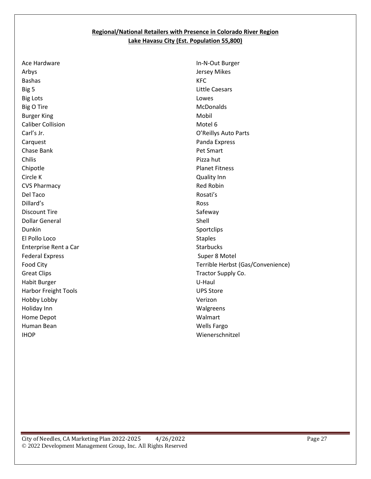#### **Regional/National Retailers with Presence in Colorado River Region Lake Havasu City (Est. Population 55,800)**

Ace Hardware Arbys Bashas Big 5 Big Lots Big O Tire Burger King Caliber Collision Carl's Jr. Carquest Chase Bank Chilis Chipotle Circle K CVS Pharmacy Del Taco Dillard's Discount Tire Dollar General Dunkin El Pollo Loco Enterprise Rent a Car Federal Express Food City Great Clips Habit Burger Harbor Freight Tools Hobby Lobby Holiday Inn Home Depot Human Bean IHOP

In-N-Out Burger Jersey Mikes KFC Little Caesars Lowes **McDonalds** Mobil Motel 6 O'Reillys Auto Parts Panda Express Pet Smart Pizza hut Planet Fitness Quality Inn Red Robin Rosati's Ross Safeway Shell Sportclips Staples **Starbucks** Super 8 Motel Terrible Herbst (Gas/Convenience) Tractor Supply Co. U-Haul UPS Store Verizon Walgreens Walmart Wells Fargo Wienerschnitzel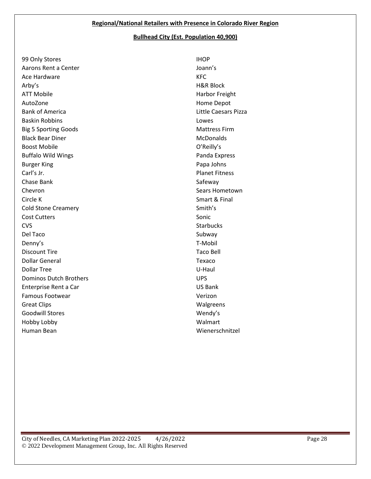#### **Bullhead City (Est. Population 40,900)**

99 Only Stores Aarons Rent a Center Ace Hardware Arby's ATT Mobile AutoZone Bank of America Baskin Robbins Big 5 Sporting Goods Black Bear Diner Boost Mobile Buffalo Wild Wings Burger King Carl's Jr. Chase Bank Chevron Circle K Cold Stone Creamery Cost Cutters CVS Del Taco Denny's Discount Tire Dollar General Dollar Tree Dominos Dutch Brothers Enterprise Rent a Car Famous Footwear Great Clips Goodwill Stores Hobby Lobby Human Bean

IHOP Joann's KFC H&R Block Harbor Freight Home Depot Little Caesars Pizza Lowes Mattress Firm **McDonalds** O'Reilly's Panda Express Papa Johns Planet Fitness Safeway Sears Hometown Smart & Final Smith's Sonic **Starbucks** Subway T-Mobil Taco Bell Texaco U-Haul UPS US Bank Verizon Walgreens Wendy's Walmart Wienerschnitzel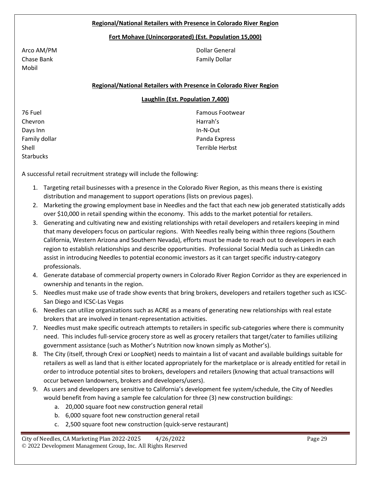#### **Regional/National Retailers with Presence in Colorado River Region**

#### **Fort Mohave (Unincorporated) (Est. Population 15,000)**

Arco AM/PM Chase Bank Mobil

Dollar General Family Dollar

#### **Regional/National Retailers with Presence in Colorado River Region**

#### **Laughlin (Est. Population 7,400)**

76 Fuel Chevron Days Inn Family dollar Shell **Starbucks** 

Famous Footwear Harrah's In-N-Out Panda Express Terrible Herbst

A successful retail recruitment strategy will include the following:

- 1. Targeting retail businesses with a presence in the Colorado River Region, as this means there is existing distribution and management to support operations (lists on previous pages).
- 2. Marketing the growing employment base in Needles and the fact that each new job generated statistically adds over \$10,000 in retail spending within the economy. This adds to the market potential for retailers.
- 3. Generating and cultivating new and existing relationships with retail developers and retailers keeping in mind that many developers focus on particular regions. With Needles really being within three regions (Southern California, Western Arizona and Southern Nevada), efforts must be made to reach out to developers in each region to establish relationships and describe opportunities. Professional Social Media such as LinkedIn can assist in introducing Needles to potential economic investors as it can target specific industry-category professionals.
- 4. Generate database of commercial property owners in Colorado River Region Corridor as they are experienced in ownership and tenants in the region.
- 5. Needles must make use of trade show events that bring brokers, developers and retailers together such as ICSC-San Diego and ICSC-Las Vegas
- 6. Needles can utilize organizations such as ACRE as a means of generating new relationships with real estate brokers that are involved in tenant-representation activities.
- 7. Needles must make specific outreach attempts to retailers in specific sub-categories where there is community need. This includes full-service grocery store as well as grocery retailers that target/cater to families utilizing government assistance (such as Mother's Nutrition now known simply as Mother's).
- 8. The City (itself, through Crexi or LoopNet) needs to maintain a list of vacant and available buildings suitable for retailers as well as land that is either located appropriately for the marketplace or is already entitled for retail in order to introduce potential sites to brokers, developers and retailers (knowing that actual transactions will occur between landowners, brokers and developers/users).
- 9. As users and developers are sensitive to California's development fee system/schedule, the City of Needles would benefit from having a sample fee calculation for three (3) new construction buildings:
	- a. 20,000 square foot new construction general retail
	- b. 6,000 square foot new construction general retail
	- c. 2,500 square foot new construction (quick-serve restaurant)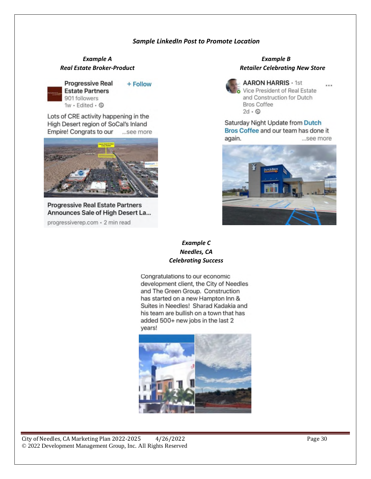#### *Sample LinkedIn Post to Promote Location*

# *Example A Example B*



**Progressive Real** + Follow **Estate Partners** 901 followers

1w · Edited · 3

Lots of CRE activity happening in the High Desert region of SoCal's Inland Empire! Congrats to our ...see more



**Progressive Real Estate Partners** Announces Sale of High Desert La...

progressiverep.com · 2 min read

# *Real Estate Broker-Product Retailer Celebrating New Store*



**AARON HARRIS · 1st** Vice President of Real Estate and Construction for Dutch **Bros Coffee**  $2d \cdot \circledcirc$ 

...

Saturday Night Update from Dutch Bros Coffee and our team has done it again. ...see more



#### *Example C Needles, CA Celebrating Success*

Congratulations to our economic development client, the City of Needles and The Green Group. Construction has started on a new Hampton Inn & Suites in Needles! Sharad Kadakia and his team are bullish on a town that has added 500+ new jobs in the last 2 years!

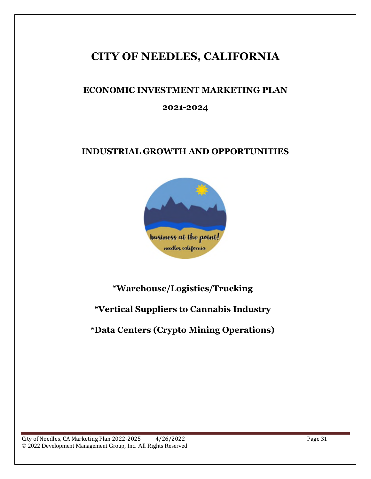## **CITY OF NEEDLES, CALIFORNIA**

## **ECONOMIC INVESTMENT MARKETING PLAN**

### **2021-2024**

## **INDUSTRIAL GROWTH AND OPPORTUNITIES**



## **\*Warehouse/Logistics/Trucking**

## **\*Vertical Suppliers to Cannabis Industry**

## **\*Data Centers (Crypto Mining Operations)**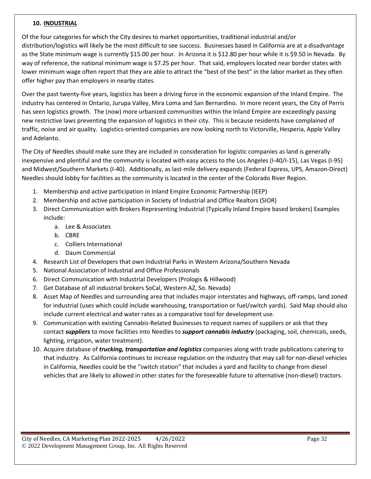#### **10. INDUSTRIAL**

Of the four categories for which the City desires to market opportunities, traditional industrial and/or distribution/logistics will likely be the most difficult to see success. Businesses based in California are at a disadvantage as the State minimum wage is currently \$15.00 per hour. In Arizona it is \$12.80 per hour while it is \$9.50 in Nevada. By way of reference, the national minimum wage is \$7.25 per hour. That said, employers located near border states with lower minimum wage often report that they are able to attract the "best of the best" in the labor market as they often offer higher pay than employers in nearby states.

Over the past twenty-five years, logistics has been a driving force in the economic expansion of the Inland Empire. The industry has centered in Ontario, Jurupa Valley, Mira Loma and San Bernardino. In more recent years, the City of Perris has seen logistics growth. The (now) more urbanized communities within the Inland Empire are exceedingly passing new restrictive laws preventing the expansion of logistics in their city. This is because residents have complained of traffic, noise and air quality. Logistics-oriented companies are now looking north to Victorville, Hesperia, Apple Valley and Adelanto.

The City of Needles should make sure they are included in consideration for logistic companies as land is generally inexpensive and plentiful and the community is located with easy access to the Los Angeles (I-40/I-15), Las Vegas (I-95) and Midwest/Southern Markets (I-40). Additionally, as last-mile delivery expands (Federal Express, UPS, Amazon-Direct) Needles should lobby for facilities as the community is located in the center of the Colorado River Region.

- 1. Membership and active participation in Inland Empire Economic Partnership (IEEP)
- 2. Membership and active participation in Society of Industrial and Office Realtors (SIOR)
- 3. Direct Communication with Brokers Representing Industrial (Typically Inland Empire based brokers) Examples include:
	- a. Lee & Associates
	- b. CBRE
	- c. Colliers International
	- d. Daum Commercial
- 4. Research List of Developers that own Industrial Parks in Western Arizona/Southern Nevada
- 5. National Association of Industrial and Office Professionals
- 6. Direct Communication with Industrial Developers (Prologis & Hillwood)
- 7. Get Database of all industrial brokers SoCal, Western AZ, So. Nevada)
- 8. Asset Map of Needles and surrounding area that includes major interstates and highways, off-ramps, land zoned for industrial (uses which could include warehousing, transportation or fuel/switch yards). Said Map should also include current electrical and water rates as a comparative tool for development use.
- 9. Communication with existing Cannabis-Related Businesses to request names of suppliers or ask that they contact *suppliers* to move facilities into Needles to *support cannabis industry* (packaging, soil, chemicals, seeds, lighting, irrigation, water treatment).
- 10. Acquire database of *trucking, transportation and logistics* companies along with trade publications catering to that industry. As California continues to increase regulation on the industry that may call for non-diesel vehicles in California, Needles could be the "switch station" that includes a yard and facility to change from diesel vehicles that are likely to allowed in other states for the foreseeable future to alternative (non-diesel) tractors.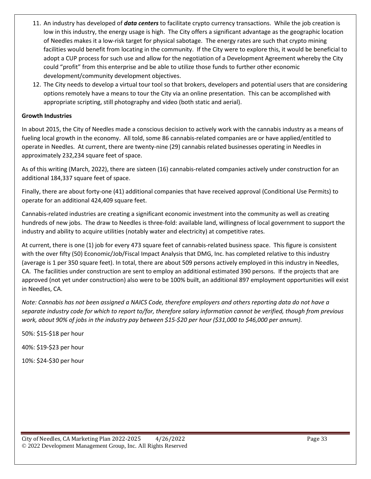- 11. An industry has developed of *data centers* to facilitate crypto currency transactions. While the job creation is low in this industry, the energy usage is high. The City offers a significant advantage as the geographic location of Needles makes it a low-risk target for physical sabotage. The energy rates are such that crypto mining facilities would benefit from locating in the community. If the City were to explore this, it would be beneficial to adopt a CUP process for such use and allow for the negotiation of a Development Agreement whereby the City could "profit" from this enterprise and be able to utilize those funds to further other economic development/community development objectives.
- 12. The City needs to develop a virtual tour tool so that brokers, developers and potential users that are considering options remotely have a means to tour the City via an online presentation. This can be accomplished with appropriate scripting, still photography and video (both static and aerial).

#### **Growth Industries**

In about 2015, the City of Needles made a conscious decision to actively work with the cannabis industry as a means of fueling local growth in the economy. All told, some 86 cannabis-related companies are or have applied/entitled to operate in Needles. At current, there are twenty-nine (29) cannabis related businesses operating in Needles in approximately 232,234 square feet of space.

As of this writing (March, 2022), there are sixteen (16) cannabis-related companies actively under construction for an additional 184,337 square feet of space.

Finally, there are about forty-one (41) additional companies that have received approval (Conditional Use Permits) to operate for an additional 424,409 square feet.

Cannabis-related industries are creating a significant economic investment into the community as well as creating hundreds of new jobs. The draw to Needles is three-fold: available land, willingness of local government to support the industry and ability to acquire utilities (notably water and electricity) at competitive rates.

At current, there is one (1) job for every 473 square feet of cannabis-related business space. This figure is consistent with the over fifty (50) Economic/Job/Fiscal Impact Analysis that DMG, Inc. has completed relative to this industry (average is 1 per 350 square feet). In total, there are about 509 persons actively employed in this industry in Needles, CA. The facilities under construction are sent to employ an additional estimated 390 persons. If the projects that are approved (not yet under construction) also were to be 100% built, an additional 897 employment opportunities will exist in Needles, CA.

*Note: Cannabis has not been assigned a NAICS Code, therefore employers and others reporting data do not have a separate industry code for which to report to/for, therefore salary information cannot be verified, though from previous work, about 90% of jobs in the industry pay between \$15-\$20 per hour (\$31,000 to \$46,000 per annum).*

50%: \$15-\$18 per hour

40%: \$19-\$23 per hour

10%: \$24-\$30 per hour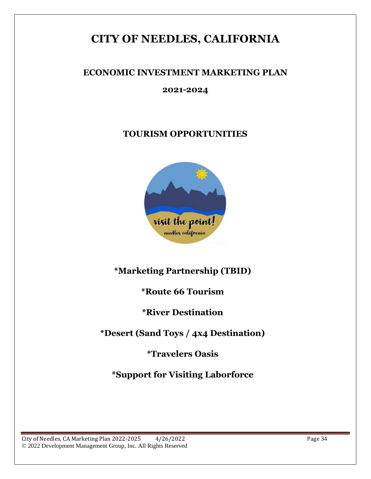## **CITY OF NEEDLES, CALIFORNIA**

## **ECONOMIC INVESTMENT MARKETING PLAN**

### **2021-2024**

## **TOURISM OPPORTUNITIES**



## **\*Marketing Partnership (TBID)**

## **\*Route 66 Tourism**

## **\*River Destination**

## **\*Desert (Sand Toys / 4x4 Destination)**

## **\*Travelers Oasis**

**\*Support for Visiting Laborforce**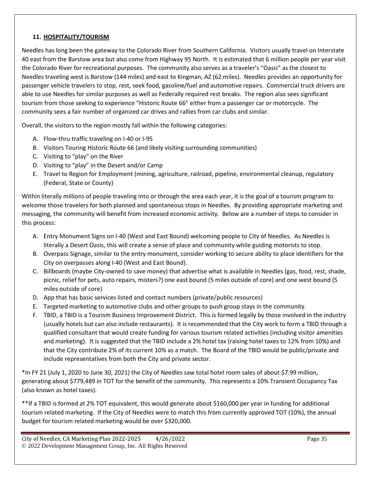#### **11. HOSPITALITY/TOURISM**

Needles has long been the gateway to the Colorado River from Southern California. Visitors usually travel on Interstate 40 east from the Barstow area but also come from Highway 95 North. It is estimated that 6 million people per year visit the Colorado River for recreational purposes. The community also serves as a traveler's "Oasis" as the closest to Needles traveling west is Barstow (144 miles) and east to Kingman, AZ (62 miles). Needles provides an opportunity for passenger vehicle travelers to stop, rest, seek food, gasoline/fuel and automotive repairs. Commercial truck drivers are able to use Needles for similar purposes as well as Federally required rest breaks. The region also sees significant tourism from those seeking to experience "Historic Route 66" either from a passenger car or motorcycle. The community sees a fair number of organized car drives and rallies from car clubs and similar.

Overall, the visitors to the region mostly fall within the following categories:

- A. Flow-thru traffic traveling on I-40 or I-95
- B. Visitors Touring Historic Route 66 (and likely visiting surrounding communities)
- C. Visiting to "play" on the River
- D. Visiting to "play" in the Desert and/or Camp
- E. Travel to Region for Employment (mining, agriculture, railroad, pipeline, environmental cleanup, regulatory (Federal, State or County)

Within literally millions of people traveling into or through the area each year, it is the goal of a tourism program to welcome those travelers for both planned and spontaneous stops in Needles. By providing appropriate marketing and messaging, the community will benefit from increased economic activity. Below are a number of steps to consider in this process:

- A. Entry Monument Signs on I-40 (West and East Bound) welcoming people to City of Needles. As Needles is literally a Desert Oasis, this will create a sense of place and community while guiding motorists to stop.
- B. Overpass Signage, similar to the entry monument, consider working to secure ability to place identifiers for the City on overpasses along I-40 (West and East Bound).
- C. Billboards (maybe City-owned to save money) that advertise what is available in Needles (gas, food, rest, shade, picnic, relief for pets, auto repairs, misters?) one east bound (5 miles outside of core) and one west bound (5 miles outside of core)
- D. App that has basic services listed and contact numbers (private/public resources)
- E. Targeted marketing to automotive clubs and other groups to push group stays in the community.
- F. TBID, a TBID is a Tourism Business Improvement District. This is formed legally by those involved in the industry (usually hotels but can also include restaurants). It is recommended that the City work to form a TBID through a qualified consultant that would create funding for various tourism related activities (including visitor amenities and marketing). It is suggested that the TBID include a 2% hotel tax (raising hotel taxes to 12% from 10%) and that the City contribute 2% of its current 10% as a match. The Board of the TBID would be public/private and include representatives from both the City and private sector.

\*In FY 21 (July 1, 2020 to June 30, 2021) the City of Needles saw total hotel room sales of about \$7.99 million, generating about \$779,489 in TOT for the benefit of the community. This represents a 10% Transient Occupancy Tax (also known as hotel taxes).

\*\*If a TBID is formed at 2% TOT equivalent, this would generate about \$160,000 per year in funding for additional tourism related marketing. If the City of Needles were to match this from currently approved TOT (10%), the annual budget for tourism related marketing would be over \$320,000.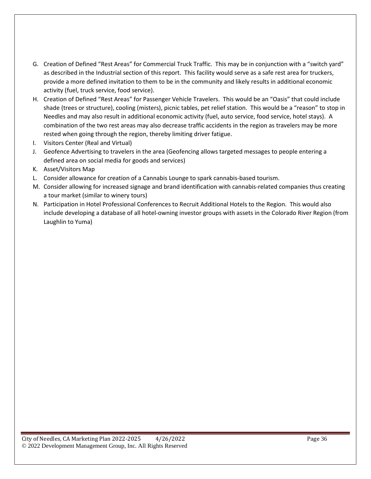- G. Creation of Defined "Rest Areas" for Commercial Truck Traffic. This may be in conjunction with a "switch yard" as described in the Industrial section of this report. This facility would serve as a safe rest area for truckers, provide a more defined invitation to them to be in the community and likely results in additional economic activity (fuel, truck service, food service).
- H. Creation of Defined "Rest Areas" for Passenger Vehicle Travelers. This would be an "Oasis" that could include shade (trees or structure), cooling (misters), picnic tables, pet relief station. This would be a "reason" to stop in Needles and may also result in additional economic activity (fuel, auto service, food service, hotel stays). A combination of the two rest areas may also decrease traffic accidents in the region as travelers may be more rested when going through the region, thereby limiting driver fatigue.
- I. Visitors Center (Real and Virtual)
- J. Geofence Advertising to travelers in the area (Geofencing allows targeted messages to people entering a defined area on social media for goods and services)
- K. Asset/Visitors Map
- L. Consider allowance for creation of a Cannabis Lounge to spark cannabis-based tourism.
- M. Consider allowing for increased signage and brand identification with cannabis-related companies thus creating a tour market (similar to winery tours)
- N. Participation in Hotel Professional Conferences to Recruit Additional Hotels to the Region. This would also include developing a database of all hotel-owning investor groups with assets in the Colorado River Region (from Laughlin to Yuma)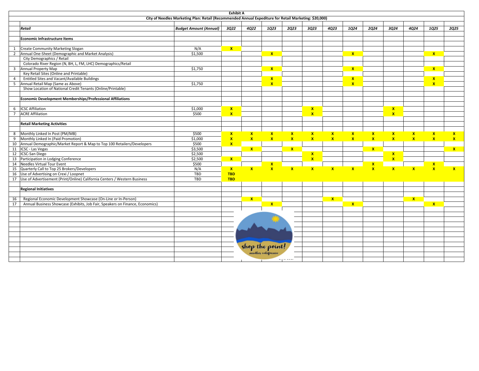| <b>Exhibit A</b><br>City of Needles Marketing Plan: Retail (Recommended Annual Expediture for Retail Marketing: \$20,000) |                                                                               |                               |              |              |                 |              |                              |                    |              |              |                              |                         |               |              |
|---------------------------------------------------------------------------------------------------------------------------|-------------------------------------------------------------------------------|-------------------------------|--------------|--------------|-----------------|--------------|------------------------------|--------------------|--------------|--------------|------------------------------|-------------------------|---------------|--------------|
|                                                                                                                           |                                                                               |                               |              |              |                 |              |                              |                    |              |              |                              |                         |               |              |
|                                                                                                                           | Retail                                                                        | <b>Budget Amount (Annual)</b> | 3Q22         | <b>4Q22</b>  | 1Q23            | 2Q23         | 3Q23                         | 4Q23               | 1Q24         | 2Q24         | 3Q24                         | <b>4Q24</b>             | 1025          | 2025         |
|                                                                                                                           |                                                                               |                               |              |              |                 |              |                              |                    |              |              |                              |                         |               |              |
|                                                                                                                           | Economic Infrastructure Items                                                 |                               |              |              |                 |              |                              |                    |              |              |                              |                         |               |              |
|                                                                                                                           |                                                                               |                               |              |              |                 |              |                              |                    |              |              |                              |                         |               |              |
| 1                                                                                                                         | <b>Create Community Marketing Slogan</b>                                      | N/A                           | $\mathbf{x}$ |              |                 |              |                              |                    |              |              |                              |                         |               |              |
|                                                                                                                           | 2 Annual One-Sheet (Demographic and Market Analysis)                          | \$1,500                       |              |              | $\mathbf{x}$    |              |                              |                    | $\mathbf{x}$ |              |                              |                         | $\mathbf{x}$  |              |
|                                                                                                                           | City Demographics / Retail                                                    |                               |              |              |                 |              |                              |                    |              |              |                              |                         |               |              |
|                                                                                                                           | Colorado River Region (N, BH, L, FM, LHC) Demographics/Retail                 |                               |              |              |                 |              |                              |                    |              |              |                              |                         |               |              |
|                                                                                                                           | 3 Annual Property Map                                                         | \$1,750                       |              |              | $\mathbf{x}$    |              |                              |                    | $\mathbf{x}$ |              |                              |                         | $\mathbf{x}$  |              |
|                                                                                                                           | Key Retail Sites (Online and Printable)                                       |                               |              |              |                 |              |                              |                    |              |              |                              |                         |               |              |
| $\overline{4}$                                                                                                            | Entitled Sites and Vacant/Available Buildings                                 |                               |              |              | $\mathbf{x}$    |              |                              |                    | $\mathbf{x}$ |              |                              |                         | $\mathbf{x}$  |              |
|                                                                                                                           | 5 Annual Retail Map (Same as Above)                                           | \$1,750                       |              |              | $\mathbf{x}$    |              |                              |                    | $\mathbf{x}$ |              |                              |                         | $\mathbf{x}$  |              |
|                                                                                                                           | Show Location of National Credit Tenants (Online/Printable)                   |                               |              |              |                 |              |                              |                    |              |              |                              |                         |               |              |
|                                                                                                                           | Economic Development Memberships/Professional Affiliations                    |                               |              |              |                 |              |                              |                    |              |              |                              |                         |               |              |
|                                                                                                                           |                                                                               |                               |              |              |                 |              |                              |                    |              |              |                              |                         |               |              |
| 6                                                                                                                         | <b>ICSC Affiliation</b>                                                       | \$1,000                       | $\mathbf{x}$ |              |                 |              | $\mathbf{x}$                 |                    |              |              | $\mathbf{x}$                 |                         |               |              |
| $7^{\circ}$                                                                                                               | <b>ACRE Affiliation</b>                                                       | \$500                         | $\mathbf{x}$ |              |                 |              | $\mathbf{x}$                 |                    |              |              | $\mathbf{x}$                 |                         |               |              |
|                                                                                                                           |                                                                               |                               |              |              |                 |              |                              |                    |              |              |                              |                         |               |              |
|                                                                                                                           | <b>Retail Marketing Activities</b>                                            |                               |              |              |                 |              |                              |                    |              |              |                              |                         |               |              |
|                                                                                                                           |                                                                               |                               |              |              |                 |              |                              |                    |              |              |                              |                         |               |              |
| 8                                                                                                                         | Monthly Linked In Post (PM/MB)                                                | \$500                         | $\mathbf{x}$ | $\mathbf{x}$ | $\mathbf{x}$    | $\mathbf{x}$ | $\mathbf{x}$                 | $\pmb{\mathsf{x}}$ | $\mathbf{x}$ | $\mathbf{x}$ | $\mathbf{x}$                 | $\mathbf{x}$            | $\mathbf{x}$  | $\mathbf{x}$ |
| 9                                                                                                                         | Monthly Linked In (Paid Promotion)                                            | \$1,000                       | $\mathbf{x}$ | $\mathbf{x}$ | $\mathbf{x}$    | $\mathbf{x}$ | $\mathbf{x}$                 | $\mathbf{x}$       | $\mathbf{x}$ | $\mathbf{x}$ | $\mathbf{x}$                 | $\mathbf{x}$            | $\mathbf{x}$  | $\mathbf{x}$ |
|                                                                                                                           | 10 Annual Demographic/Market Report & Map to Top 100 Retailers/Developers     | \$500                         | $\mathbf{x}$ |              |                 |              |                              |                    |              |              |                              |                         |               |              |
|                                                                                                                           | 11 ICSC - Las Vegas                                                           | \$3,500<br>\$2,500            |              | $\mathbf{x}$ |                 | $\mathbf{x}$ |                              |                    |              | $\mathbf{x}$ |                              |                         |               | $\mathbf{x}$ |
|                                                                                                                           | 12   ICSC-San Diego<br>13 Participation in Lodging Conference                 | \$2,500                       | $\mathbf{x}$ |              |                 |              | $\mathbf{x}$<br>$\mathbf{x}$ |                    |              |              | $\mathbf{x}$<br>$\mathbf{x}$ |                         |               |              |
|                                                                                                                           | 14 Needles Virtual Tour Event                                                 | \$500                         |              |              | $\mathbf{x}$    |              |                              |                    |              | $\mathbf{x}$ |                              |                         |               |              |
|                                                                                                                           | 15 Quarterly Call to Top 25 Brokers/Developers                                | N/A                           | $\mathbf{x}$ | $\mathbf{x}$ | $\mathbf{x}$    | $\mathbf{x}$ | $\mathbf{x}$                 | $\mathbf{x}$       | $\mathbf{x}$ | $\mathbf{x}$ | $\mathbf{x}$                 | $\overline{\mathbf{x}}$ | $\frac{x}{x}$ | $\mathbf{x}$ |
|                                                                                                                           | 16 Use of Advertising on Crexi / Loopnet                                      | TBD                           | <b>TBD</b>   |              |                 |              |                              |                    |              |              |                              |                         |               |              |
|                                                                                                                           | 17 Use of Advertisement (Print/Online) California Centers / Western Business  | TBD                           | <b>TBD</b>   |              |                 |              |                              |                    |              |              |                              |                         |               |              |
|                                                                                                                           |                                                                               |                               |              |              |                 |              |                              |                    |              |              |                              |                         |               |              |
|                                                                                                                           | <b>Regional Initiatives</b>                                                   |                               |              |              |                 |              |                              |                    |              |              |                              |                         |               |              |
|                                                                                                                           |                                                                               |                               |              |              |                 |              |                              |                    |              |              |                              |                         |               |              |
| 16                                                                                                                        | Regional Economic Development Showcase (On-Line or In-Person)                 |                               |              | $\mathbf{x}$ |                 |              |                              | $\mathbf{x}$       |              |              |                              | $\mathbf{x}$            |               |              |
| 17                                                                                                                        | Annual Business Showcase (Exhibits, Job Fair, Speakers on Finance, Economics) |                               |              |              | $\mathbf{x}$    |              |                              |                    | $\mathbf{x}$ |              |                              |                         | $\mathbf{x}$  |              |
|                                                                                                                           |                                                                               |                               |              |              |                 |              |                              |                    |              |              |                              |                         |               |              |
|                                                                                                                           |                                                                               |                               |              |              |                 |              |                              |                    |              |              |                              |                         |               |              |
|                                                                                                                           |                                                                               |                               |              |              |                 |              |                              |                    |              |              |                              |                         |               |              |
|                                                                                                                           |                                                                               |                               |              |              |                 |              |                              |                    |              |              |                              |                         |               |              |
|                                                                                                                           |                                                                               |                               |              |              |                 |              |                              |                    |              |              |                              |                         |               |              |
|                                                                                                                           |                                                                               |                               |              |              |                 |              |                              |                    |              |              |                              |                         |               |              |
|                                                                                                                           |                                                                               |                               |              |              |                 |              |                              |                    |              |              |                              |                         |               |              |
|                                                                                                                           |                                                                               |                               |              |              | shop the point. |              |                              |                    |              |              |                              |                         |               |              |
|                                                                                                                           |                                                                               |                               |              |              |                 |              |                              |                    |              |              |                              |                         |               |              |
|                                                                                                                           |                                                                               |                               |              |              |                 |              |                              |                    |              |              |                              |                         |               |              |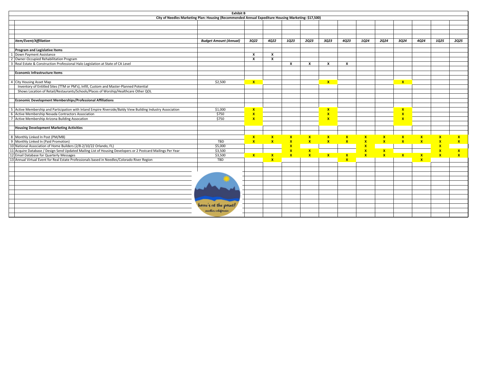| <b>Exhibit B</b>                                                                                             |                               |                         |               |               |               |                         |               |         |               |               |               |                    |                    |
|--------------------------------------------------------------------------------------------------------------|-------------------------------|-------------------------|---------------|---------------|---------------|-------------------------|---------------|---------|---------------|---------------|---------------|--------------------|--------------------|
| City of Needles Marketing Plan: Housing (Recommended Annual Expediture Housing Marketing: \$17,500)          |                               |                         |               |               |               |                         |               |         |               |               |               |                    |                    |
|                                                                                                              |                               |                         |               |               |               |                         |               |         |               |               |               |                    |                    |
|                                                                                                              |                               |                         |               |               |               |                         |               |         |               |               |               |                    |                    |
|                                                                                                              |                               |                         |               |               |               |                         |               |         |               |               |               |                    |                    |
|                                                                                                              |                               |                         |               |               |               |                         |               |         |               |               |               |                    |                    |
| <b>Item/Event/Affiliation</b>                                                                                | <b>Budget Amount (Annual)</b> | 3022                    | 4022          | 1023          | 2023          | 3023                    | 4023          | 1024    | 2024          | 3024          | 4024          | 1025               | 2025               |
|                                                                                                              |                               |                         |               |               |               |                         |               |         |               |               |               |                    |                    |
| Program and Legislative Items                                                                                |                               |                         |               |               |               |                         |               |         |               |               |               |                    |                    |
| 1 Down Payment Assistance                                                                                    |                               | $\mathbf{x}$            | x             |               |               |                         |               |         |               |               |               |                    |                    |
| 2 Owner-Occupied Rehabilitation Program                                                                      |                               | X                       | x             |               |               |                         |               |         |               |               |               |                    |                    |
| 3 Real Estate & Construction Professional Halo Legislation at State of CA Level                              |                               |                         |               | x             | x             | x                       | x             |         |               |               |               |                    |                    |
| Economic Infrastructure Items                                                                                |                               |                         |               |               |               |                         |               |         |               |               |               |                    |                    |
|                                                                                                              |                               |                         |               |               |               |                         |               |         |               |               |               |                    |                    |
| 4 City Housing Asset Map                                                                                     | \$2,500                       | $\mathbf{x}$            |               |               |               | $\mathbf{x}$            |               |         |               | $\mathbf{x}$  |               |                    |                    |
| Inventory of Entitled Sites (TTM or PM's), Infill, Custom and Master-Planned Potential                       |                               |                         |               |               |               |                         |               |         |               |               |               |                    |                    |
| Shows Location of Retail/Restaurants/Schools/Places of Worship/Healthcare Other QOL                          |                               |                         |               |               |               |                         |               |         |               |               |               |                    |                    |
|                                                                                                              |                               |                         |               |               |               |                         |               |         |               |               |               |                    |                    |
| Economic Development Memberships/Professional Affiliations                                                   |                               |                         |               |               |               |                         |               |         |               |               |               |                    |                    |
|                                                                                                              |                               |                         |               |               |               |                         |               |         |               |               |               |                    |                    |
| 5 Active Membership and Participation with Inland Empire Riverside/Baldy View Building Industry Association  | \$1,000                       | $\mathbf{x}$            |               |               |               | $\mathbf{x}$            |               |         |               | $\mathbf{x}$  |               |                    |                    |
| 6 Active Membership Nevada Contractors Association                                                           | \$750                         | $\overline{\mathbf{x}}$ |               |               |               | $\overline{\mathbf{x}}$ |               |         |               | $\mathbf{x}$  |               |                    |                    |
| 7 Active Membership Arizona Building Assocation                                                              | \$750                         | $\mathbf{x}$            |               |               |               | $\mathbf{x}$            |               |         |               | $\mathbf{x}$  |               |                    |                    |
| <b>Housing Development Marketing Activities</b>                                                              |                               |                         |               |               |               |                         |               |         |               |               |               |                    |                    |
|                                                                                                              |                               |                         |               |               |               |                         |               |         |               |               |               |                    |                    |
| 8 Monthly Linked In Post (PM/MB)                                                                             |                               | $\mathbf{x}$            |               |               |               | $\frac{x}{x}$           | $\frac{x}{x}$ |         | $\frac{x}{x}$ |               |               | $\mathbf{x}$       | $\mathbf{x}$       |
| 9 Monthly Linked In (Paid Promotion)                                                                         | TBD                           | $\mathbf{x}$            | $\frac{x}{x}$ | $\frac{x}{x}$ | $\frac{x}{x}$ |                         |               | x x x x |               | $\frac{x}{x}$ | $\frac{x}{x}$ | $\mathbf x$        | $\pmb{\mathsf{x}}$ |
| 10 National Association of Home Builders (2/8-2/10/22 Orlando, FL)                                           | \$5,000                       |                         |               | $\mathbf x$   |               |                         |               |         |               |               |               | $\pmb{\mathsf{x}}$ |                    |
| 11 Acquire Database / Design Send Updated Mailing List of Housing Developers or 2 Postcard Mailings Per Year | \$3,500                       |                         |               | $\mathbf{x}$  | $\frac{x}{x}$ |                         |               |         | $\frac{x}{x}$ |               |               | $\pmb{\chi}$       | $\pmb{\chi}$       |
| 12 Email Database for Quarterly Messages                                                                     | \$3,500                       | $\mathbf{x}$            | $\mathbf{x}$  | $\mathbf{x}$  |               | $\mathbf{x}$            | $\mathbf{x}$  |         |               | X             | $\mathbf{x}$  | $\mathbf{x}$       | $\mathbf{x}$       |
| 13 Annual Virtual Event for Real Estate Professionals based in Needles/Colorado River Region                 | TBD                           |                         | $\mathbf{x}$  |               |               |                         | $\mathbf{x}$  |         |               |               | $\mathbf{x}$  |                    |                    |
|                                                                                                              |                               |                         |               |               |               |                         |               |         |               |               |               |                    |                    |
|                                                                                                              |                               |                         |               |               |               |                         |               |         |               |               |               |                    |                    |
|                                                                                                              |                               |                         |               |               |               |                         |               |         |               |               |               |                    |                    |
|                                                                                                              |                               |                         |               |               |               |                         |               |         |               |               |               |                    |                    |
|                                                                                                              |                               |                         |               |               |               |                         |               |         |               |               |               |                    |                    |
|                                                                                                              |                               |                         |               |               |               |                         |               |         |               |               |               |                    |                    |
|                                                                                                              |                               |                         |               |               |               |                         |               |         |               |               |               |                    |                    |
|                                                                                                              | home's at the point!          |                         |               |               |               |                         |               |         |               |               |               |                    |                    |
|                                                                                                              | medles california             |                         |               |               |               |                         |               |         |               |               |               |                    |                    |
|                                                                                                              |                               |                         |               |               |               |                         |               |         |               |               |               |                    |                    |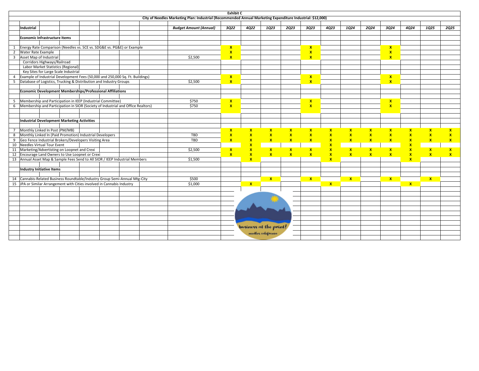| City of Needles Marketing Plan: Industrial (Recommended Annual Marketing Expenditure Industrial: \$12,000) |  |  |  |  |  |  |  |  |  |  |
|------------------------------------------------------------------------------------------------------------|--|--|--|--|--|--|--|--|--|--|
| 1025                                                                                                       |  |  |  |  |  |  |  |  |  |  |
| 2Q25                                                                                                       |  |  |  |  |  |  |  |  |  |  |
|                                                                                                            |  |  |  |  |  |  |  |  |  |  |
|                                                                                                            |  |  |  |  |  |  |  |  |  |  |
|                                                                                                            |  |  |  |  |  |  |  |  |  |  |
|                                                                                                            |  |  |  |  |  |  |  |  |  |  |
|                                                                                                            |  |  |  |  |  |  |  |  |  |  |
|                                                                                                            |  |  |  |  |  |  |  |  |  |  |
|                                                                                                            |  |  |  |  |  |  |  |  |  |  |
|                                                                                                            |  |  |  |  |  |  |  |  |  |  |
|                                                                                                            |  |  |  |  |  |  |  |  |  |  |
|                                                                                                            |  |  |  |  |  |  |  |  |  |  |
|                                                                                                            |  |  |  |  |  |  |  |  |  |  |
|                                                                                                            |  |  |  |  |  |  |  |  |  |  |
|                                                                                                            |  |  |  |  |  |  |  |  |  |  |
|                                                                                                            |  |  |  |  |  |  |  |  |  |  |
|                                                                                                            |  |  |  |  |  |  |  |  |  |  |
|                                                                                                            |  |  |  |  |  |  |  |  |  |  |
|                                                                                                            |  |  |  |  |  |  |  |  |  |  |
|                                                                                                            |  |  |  |  |  |  |  |  |  |  |
| $\pmb{\chi}$<br>$\mathbf{x}$                                                                               |  |  |  |  |  |  |  |  |  |  |
| $\mathbf{x}$                                                                                               |  |  |  |  |  |  |  |  |  |  |
| $\frac{x}{x}$<br>$\mathbf{x}$                                                                              |  |  |  |  |  |  |  |  |  |  |
|                                                                                                            |  |  |  |  |  |  |  |  |  |  |
| $\mathbf{x}$<br>$\mathbf{x}$                                                                               |  |  |  |  |  |  |  |  |  |  |
| $\mathbf{x}$<br>$\mathbf{x}$                                                                               |  |  |  |  |  |  |  |  |  |  |
|                                                                                                            |  |  |  |  |  |  |  |  |  |  |
|                                                                                                            |  |  |  |  |  |  |  |  |  |  |
|                                                                                                            |  |  |  |  |  |  |  |  |  |  |
|                                                                                                            |  |  |  |  |  |  |  |  |  |  |
| $\mathbf{x}$                                                                                               |  |  |  |  |  |  |  |  |  |  |
|                                                                                                            |  |  |  |  |  |  |  |  |  |  |
|                                                                                                            |  |  |  |  |  |  |  |  |  |  |
|                                                                                                            |  |  |  |  |  |  |  |  |  |  |
|                                                                                                            |  |  |  |  |  |  |  |  |  |  |
|                                                                                                            |  |  |  |  |  |  |  |  |  |  |
|                                                                                                            |  |  |  |  |  |  |  |  |  |  |
|                                                                                                            |  |  |  |  |  |  |  |  |  |  |
|                                                                                                            |  |  |  |  |  |  |  |  |  |  |
|                                                                                                            |  |  |  |  |  |  |  |  |  |  |
|                                                                                                            |  |  |  |  |  |  |  |  |  |  |
|                                                                                                            |  |  |  |  |  |  |  |  |  |  |
|                                                                                                            |  |  |  |  |  |  |  |  |  |  |